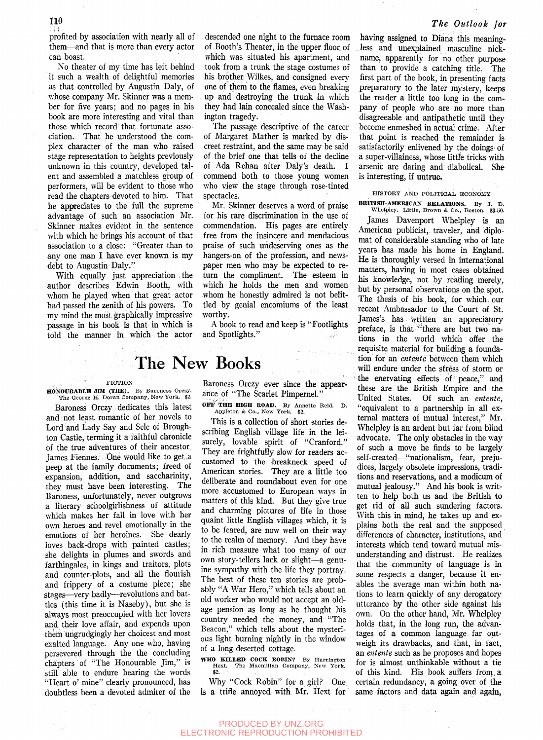### *The Outlook for*

profited by association with nearly all of them—and that is more than every actor can boast.

No theater of my time has left behind it such a wealth of delightful memories as that controlled by Augustin Daly, of whose company Mr. Skinner was a member for five years; and no pages in his book are more interesting and vital than those which record that fortunate association. That he understood the complex character of the man who raised stage representation to heights previously unknown in this country, developed talent and assembled a matchless group of performers, will be evident to those who read the chapters devoted to him. That he appreciates to the full the supreme advantage of such an association Mr. Skinner makes evident in the sentence with which he brings his account of that association to a close: "Greater than to any one man I have ever known is my debt to Augustin Daly."

With equally just appreciation the author describes Edwin Booth, with whom he played when that great actor had passed the zenith of his powers. To my mind the most graphically impressive passage in his book is that in which is told the manner in which the actor descended one night to the furnace room of Booth's Theater, in the upper floor of which was situated his apartment, and took from a trunk the stage costumes of his brother Wilkes, and consigned every one of them to the flames, even breaking up and destroying the trunk in which they had lain concealed since the Washington tragedy.

The passage descriptive of the career of Margaret Mather is marked by discreet restraint, and the same may be said of the brief one that tells of the decline of Ada Rehan after Daly's death. I commend both to those young women who view the stage through rose-tinted spectacles.

Mr. Skinner deserves a word of praise for his rare discrimination in the use of commendation. His pages are entirely free from the insincere and mendacious praise of such undeserving ones as the hangers-on of the profession, and newspaper men who may be expected to return the compliment. The esteem in which he holds the men and women whom he honestly admired is not belittled by genial encomiums of the least worthy.

A book to read and keep is "Footlights and Spotlights."

# The New Books

#### FICTION

HONOUKABLE JIM (THE). By Baroness Orczy. The George H. Doran Company, New York. \$2.

Baroness Orczy dedicates this latest and not least romantic of her novels to Lord and Lady Say and Sele of Broughton Castle, terming it a faithful chronicle of the true adventures of their ancestor, James Fiennes: One would like to get a peep at the family documents; freed of expansion, addition, and saccharinity, they must have been interesting. The Baroness, unfortunately, never outgrows a literary schoolgirlishness of attitude which makes her fall in love with her own heroes and revel emotionally in the emotions of her heroines. She dearly loves back-drops with painted castles; she delights in plumes and swords and farthingales, in kings and traitors, plots and counter-plots, and all the flourish and frippery of a costume piece; she stages—very badly—revolutions and battles (this time it is Naseby), but she is always most preoccupied with her lovers andi their love affair, and expends upon thern ungrudgingly her choicest and most exalted language. Any one who, having persevered through the the concluding chapters of "The Honourable Jim," is still able to endure hearing the words "Heart o' mine" clearly pronounced, has doubtless been a devoted admirer of the

Baroness Orczy ever since the appearance of "The Scarlet Pimpernel."

OFF THE HIGH ROAD. By Annette Held. D. Appleton *&* Co., New York. \$2.

This is a collection of short stories describing English village life in the leisurely, lovable spirit of "Cranford." They are frightfully slow for readers accustomed to the breakneck speed of American stories. They are a little too deliberate and roundabout even for one more accustomed to European ways in matters of this kind. But they give true and charming pictures of life in those quaint little English viUages which, it is to be feared, are now well on their way to the realm of memory. And they have in rich measure what too many of our own story-tellers lack or slight—a genuine sympathy with the life they portray. The best of these ten stories are probably "A War Hero," which tells about an old worker who would not accept an oldage pension as long as he thought his country needed the money, and "The Beacon," which tells about the mysterious light burning nightly in the window of a long-deserted cottage.

WHO KILLED COCK ROBIN? By Harrington Hext. The Macmillan Company, New York. \$2.

Why "Cock Robin" for a girl? One is a trifle annoyed with Mr. Hext for

having assigned to Diana this meaningless and unexplained masculine nickname, apparently for no other purpose than to provide a catching title. The first part of the book, in presenting facts preparatory to the later mystery, keeps the reader a little too long in the company of people who are no more than disagreeable and antipathetic until they become enmeshed in actual crime. After that point is reached the remainder is satisfactorily enlivened by the doings of a super-villainess, whose little tricks with arsenic are daring and diabolical. She is interesting, if untrue.

# HISTORY AND POLITICAL ECONOMY BKITISH-AMEEICAN KELATIONS. By J. D. Whelpley. Little, Brown & Co., Boston. \$3.50.

James Davenport Whelpley is an American publicist, traveler, and diplomat of considerable standing who of late years has made his home in England. He is thoroughly versed in international matters, having in most cases obtained his knowledge, not by reading merely, but by personal observations on the spot. The thesis of his book, for which*.* our recent Ambassador to the Court of St. James's has written an appreciatory preface, is that "there are but two nations in the world which offer the requisite material for building a foundation for an *entente* between them which will endure under the stress of storm or the enervating effects of peace," and these are the British Empire and the United States. Of such an *entente,*  "equivalent to a partnership in all external matters of mutual interest," Mr. Whelpley is an ardent but far from blind advocate. The only obstacles in the way of such a move he finds to be largely self-created—"nationalism, fear, prejudices, largely obsolete impressions, traditions and reservations, and a modicum of mutual jealousy." And his book is written to help both us and the British to get rid of all such sundering factors. With this in mind, he takes up and explains both the real and the supposed differences of character, institutions, and interests which tend toward mutual misunderstanding and distrust. He realizes that the community of language is in some respective danger respectively to the control of the control of the control of the control of the control of the control of the control of the control of the control of the control of the control of the control of the some respects a danger, because it enables the average man within both nations to learn quickly of any derogatory utterance by the other side against his own. On the other hand, Mr. Whelpley holds that, in the long run, the advantages of a common language far outweigh its drawbacks, and that, in fact, an entente such as he proposes and hopes for is almost unthinkable without a tie of this kind. His book suffers from a certain redundancy, a going over of the same factors and data again and again.

#### PRODUCED BY UNZ.ORG ELECTRONIC REPRODUCTION PROHIBITED